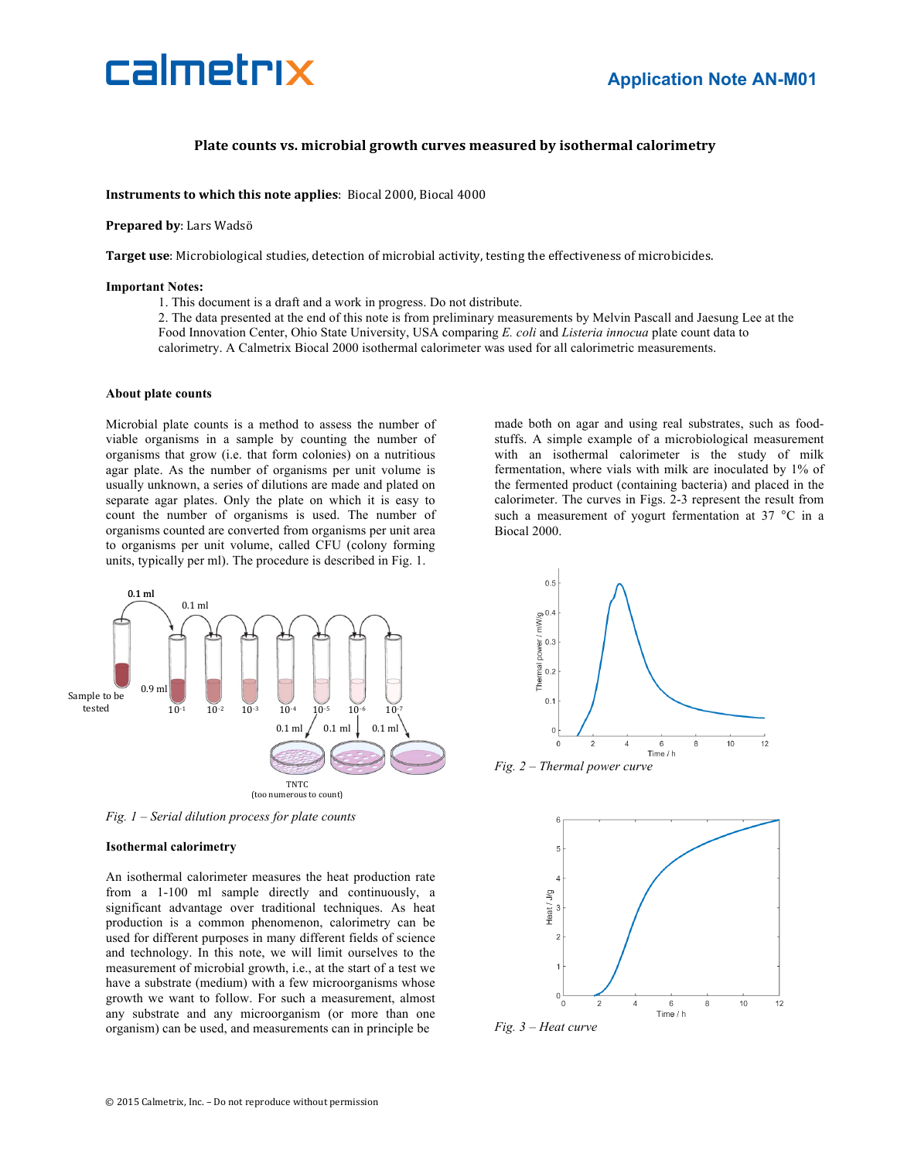

### **Plate counts vs. microbial growth curves measured by isothermal calorimetry**

**Instruments to which this note applies**: Biocal 2000, Biocal 4000

### **Prepared by: Lars Wadsö**

**Target use**: Microbiological studies, detection of microbial activity, testing the effectiveness of microbicides.

### **Important Notes:**

1. This document is a draft and a work in progress. Do not distribute.

2. The data presented at the end of this note is from preliminary measurements by Melvin Pascall and Jaesung Lee at the Food Innovation Center, Ohio State University, USA comparing *E. coli* and *Listeria innocua* plate count data to calorimetry. A Calmetrix Biocal 2000 isothermal calorimeter was used for all calorimetric measurements.

### **About plate counts**

Microbial plate counts is a method to assess the number of viable organisms in a sample by counting the number of organisms that grow (i.e. that form colonies) on a nutritious agar plate. As the number of organisms per unit volume is usually unknown, a series of dilutions are made and plated on separate agar plates. Only the plate on which it is easy to count the number of organisms is used. The number of organisms counted are converted from organisms per unit area to organisms per unit volume, called CFU (colony forming units, typically per ml). The procedure is described in Fig. 1.

made both on agar and using real substrates, such as foodstuffs. A simple example of a microbiological measurement with an isothermal calorimeter is the study of milk fermentation, where vials with milk are inoculated by 1% of the fermented product (containing bacteria) and placed in the calorimeter. The curves in Figs. 2-3 represent the result from such a measurement of yogurt fermentation at 37 °C in a Biocal 2000.



*Fig. 1 – Serial dilution process for plate counts*

#### **Isothermal calorimetry**

An isothermal calorimeter measures the heat production rate from a 1-100 ml sample directly and continuously, a significant advantage over traditional techniques. As heat production is a common phenomenon, calorimetry can be used for different purposes in many different fields of science and technology. In this note, we will limit ourselves to the measurement of microbial growth, i.e., at the start of a test we have a substrate (medium) with a few microorganisms whose growth we want to follow. For such a measurement, almost any substrate and any microorganism (or more than one organism) can be used, and measurements can in principle be



*Fig. 2 – Thermal power curve*



*Fig. 3 – Heat curve*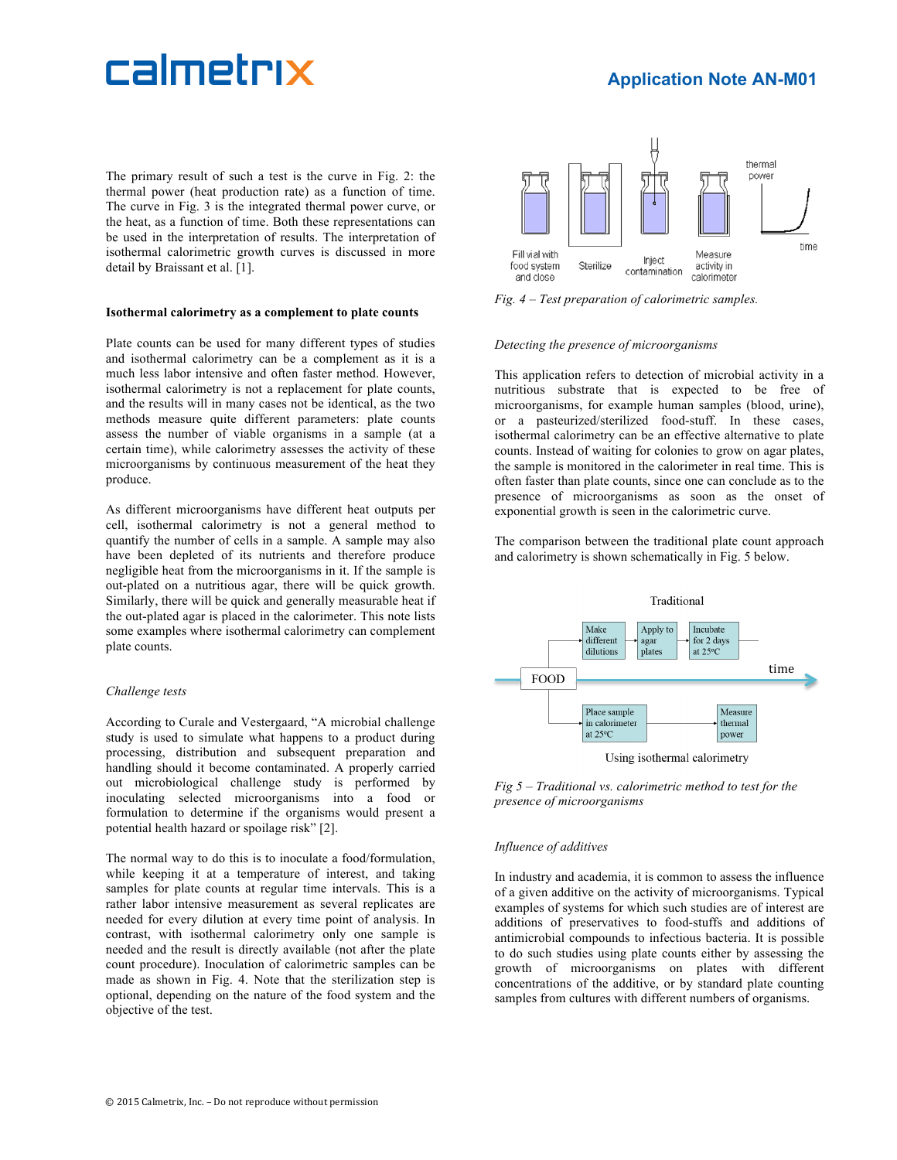# calmetrix

## **Application Note AN-M01**

The primary result of such a test is the curve in Fig. 2: the thermal power (heat production rate) as a function of time. The curve in Fig. 3 is the integrated thermal power curve, or the heat, as a function of time. Both these representations can be used in the interpretation of results. The interpretation of isothermal calorimetric growth curves is discussed in more detail by Braissant et al. [1].

### **Isothermal calorimetry as a complement to plate counts**

Plate counts can be used for many different types of studies and isothermal calorimetry can be a complement as it is a much less labor intensive and often faster method. However, isothermal calorimetry is not a replacement for plate counts, and the results will in many cases not be identical, as the two methods measure quite different parameters: plate counts assess the number of viable organisms in a sample (at a certain time), while calorimetry assesses the activity of these microorganisms by continuous measurement of the heat they produce.

As different microorganisms have different heat outputs per cell, isothermal calorimetry is not a general method to quantify the number of cells in a sample. A sample may also have been depleted of its nutrients and therefore produce negligible heat from the microorganisms in it. If the sample is out-plated on a nutritious agar, there will be quick growth. Similarly, there will be quick and generally measurable heat if the out-plated agar is placed in the calorimeter. This note lists some examples where isothermal calorimetry can complement plate counts.

### *Challenge tests*

According to Curale and Vestergaard, "A microbial challenge study is used to simulate what happens to a product during processing, distribution and subsequent preparation and handling should it become contaminated. A properly carried out microbiological challenge study is performed by inoculating selected microorganisms into a food or formulation to determine if the organisms would present a potential health hazard or spoilage risk" [2].

The normal way to do this is to inoculate a food/formulation, while keeping it at a temperature of interest, and taking samples for plate counts at regular time intervals. This is a rather labor intensive measurement as several replicates are needed for every dilution at every time point of analysis. In contrast, with isothermal calorimetry only one sample is needed and the result is directly available (not after the plate count procedure). Inoculation of calorimetric samples can be made as shown in Fig. 4. Note that the sterilization step is optional, depending on the nature of the food system and the objective of the test.



*Fig. 4 – Test preparation of calorimetric samples.*

### *Detecting the presence of microorganisms*

This application refers to detection of microbial activity in a nutritious substrate that is expected to be free of microorganisms, for example human samples (blood, urine), or a pasteurized/sterilized food-stuff. In these cases, isothermal calorimetry can be an effective alternative to plate counts. Instead of waiting for colonies to grow on agar plates, the sample is monitored in the calorimeter in real time. This is often faster than plate counts, since one can conclude as to the presence of microorganisms as soon as the onset of exponential growth is seen in the calorimetric curve.

The comparison between the traditional plate count approach and calorimetry is shown schematically in Fig. 5 below.



*Fig 5 – Traditional vs. calorimetric method to test for the presence of microorganisms*

### *Influence of additives*

In industry and academia, it is common to assess the influence of a given additive on the activity of microorganisms. Typical examples of systems for which such studies are of interest are additions of preservatives to food-stuffs and additions of antimicrobial compounds to infectious bacteria. It is possible to do such studies using plate counts either by assessing the growth of microorganisms on plates with different concentrations of the additive, or by standard plate counting samples from cultures with different numbers of organisms.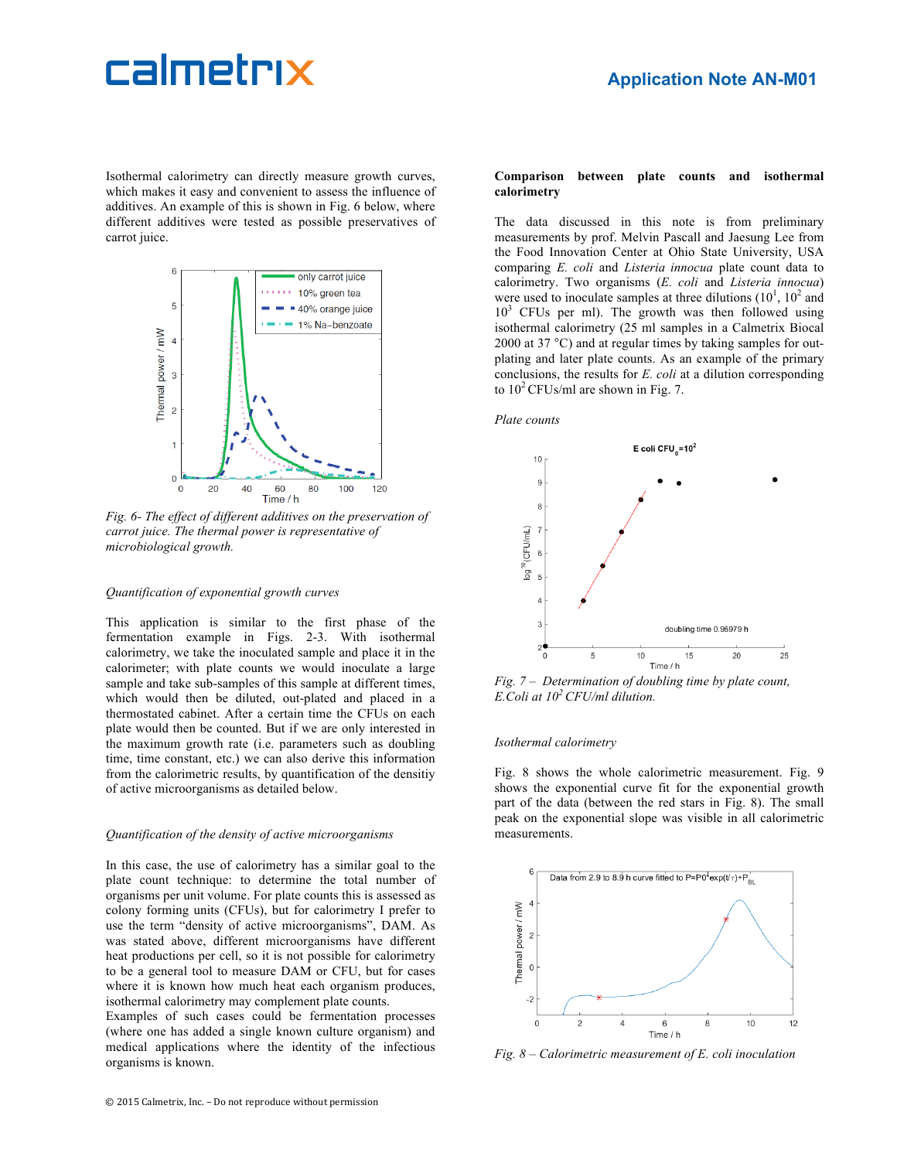## calmetrix

Isothermal calorimetry can directly measure growth curves, which makes it easy and convenient to assess the influence of additives. An example of this is shown in Fig. 6 below, where different additives were tested as possible preservatives of carrot juice.



*Fig. 6- The effect of different additives on the preservation of carrot juice. The thermal power is representative of microbiological growth.*

### *Quantification of exponential growth curves*

This application is similar to the first phase of the fermentation example in Figs. 2-3. With isothermal calorimetry, we take the inoculated sample and place it in the calorimeter; with plate counts we would inoculate a large sample and take sub-samples of this sample at different times, which would then be diluted, out-plated and placed in a thermostated cabinet. After a certain time the CFUs on each plate would then be counted. But if we are only interested in the maximum growth rate (i.e. parameters such as doubling time, time constant, etc.) we can also derive this information from the calorimetric results, by quantification of the densitiy of active microorganisms as detailed below.

### *Quantification of the density of active microorganisms*

In this case, the use of calorimetry has a similar goal to the plate count technique: to determine the total number of organisms per unit volume. For plate counts this is assessed as colony forming units (CFUs), but for calorimetry I prefer to use the term "density of active microorganisms", DAM. As was stated above, different microorganisms have different heat productions per cell, so it is not possible for calorimetry to be a general tool to measure DAM or CFU, but for cases where it is known how much heat each organism produces. isothermal calorimetry may complement plate counts.

Examples of such cases could be fermentation processes (where one has added a single known culture organism) and medical applications where the identity of the infectious organisms is known.

### **Comparison between plate counts and isothermal calorimetry**

The data discussed in this note is from preliminary measurements by prof. Melvin Pascall and Jaesung Lee from the Food Innovation Center at Ohio State University, USA comparing *E. coli* and *Listeria innocua* plate count data to calorimetry. Two organisms (*E. coli* and *Listeria innocua*) were used to inoculate samples at three dilutions  $(10^1, 10^2, \text{ and})$  $10<sup>3</sup>$  CFUs per ml). The growth was then followed using isothermal calorimetry (25 ml samples in a Calmetrix Biocal 2000 at 37 °C) and at regular times by taking samples for outplating and later plate counts. As an example of the primary conclusions, the results for *E. coli* at a dilution corresponding to  $10^2$  CFUs/ml are shown in Fig. 7.

### *Plate counts*



*Fig. 7 – Determination of doubling time by plate count, E.Coli at 102 CFU/ml dilution.*

### *Isothermal calorimetry*

Fig. 8 shows the whole calorimetric measurement. Fig. 9 shows the exponential curve fit for the exponential growth part of the data (between the red stars in Fig. 8). The small peak on the exponential slope was visible in all calorimetric measurements.



*Fig. 8 – Calorimetric measurement of E. coli inoculation*